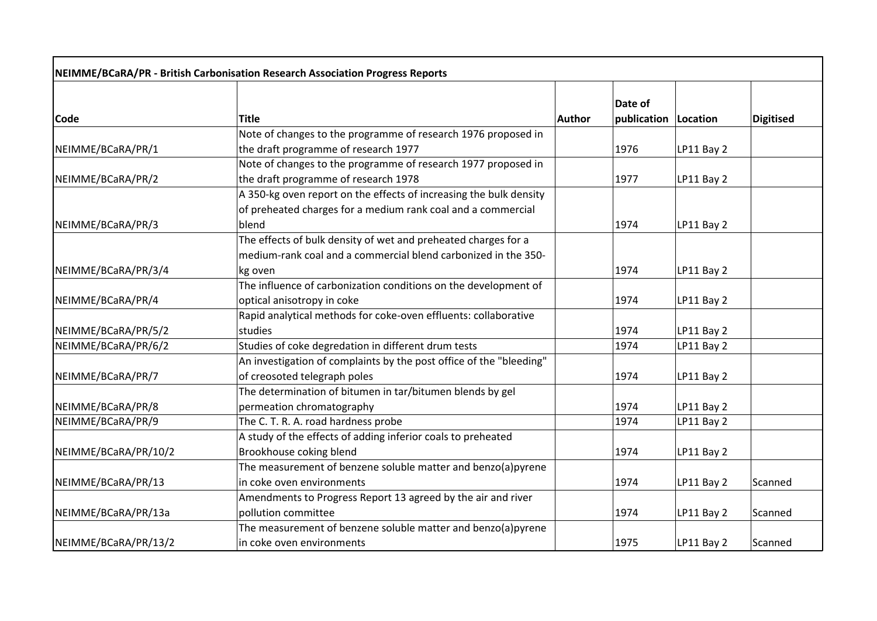|                      | NEIMME/BCaRA/PR - British Carbonisation Research Association Progress Reports |               |                                 |            |                  |
|----------------------|-------------------------------------------------------------------------------|---------------|---------------------------------|------------|------------------|
| <b>Code</b>          | <b>Title</b>                                                                  | <b>Author</b> | Date of<br>publication Location |            | <b>Digitised</b> |
|                      | Note of changes to the programme of research 1976 proposed in                 |               |                                 |            |                  |
| NEIMME/BCaRA/PR/1    | the draft programme of research 1977                                          |               | 1976                            | LP11 Bay 2 |                  |
|                      | Note of changes to the programme of research 1977 proposed in                 |               |                                 |            |                  |
| NEIMME/BCaRA/PR/2    | the draft programme of research 1978                                          |               | 1977                            | LP11 Bay 2 |                  |
|                      | A 350-kg oven report on the effects of increasing the bulk density            |               |                                 |            |                  |
|                      | of preheated charges for a medium rank coal and a commercial                  |               |                                 |            |                  |
| NEIMME/BCaRA/PR/3    | blend                                                                         |               | 1974                            | LP11 Bay 2 |                  |
|                      | The effects of bulk density of wet and preheated charges for a                |               |                                 |            |                  |
|                      | medium-rank coal and a commercial blend carbonized in the 350-                |               |                                 |            |                  |
| NEIMME/BCaRA/PR/3/4  | kg oven                                                                       |               | 1974                            | LP11 Bay 2 |                  |
|                      | The influence of carbonization conditions on the development of               |               |                                 |            |                  |
| NEIMME/BCaRA/PR/4    | optical anisotropy in coke                                                    |               | 1974                            | LP11 Bay 2 |                  |
|                      | Rapid analytical methods for coke-oven effluents: collaborative               |               |                                 |            |                  |
| NEIMME/BCaRA/PR/5/2  | studies                                                                       |               | 1974                            | LP11 Bay 2 |                  |
| NEIMME/BCaRA/PR/6/2  | Studies of coke degredation in different drum tests                           |               | 1974                            | LP11 Bay 2 |                  |
|                      | An investigation of complaints by the post office of the "bleeding"           |               |                                 |            |                  |
| NEIMME/BCaRA/PR/7    | of creosoted telegraph poles                                                  |               | 1974                            | LP11 Bay 2 |                  |
|                      | The determination of bitumen in tar/bitumen blends by gel                     |               |                                 |            |                  |
| NEIMME/BCaRA/PR/8    | permeation chromatography                                                     |               | 1974                            | LP11 Bay 2 |                  |
| NEIMME/BCaRA/PR/9    | The C. T. R. A. road hardness probe                                           |               | 1974                            | LP11 Bay 2 |                  |
|                      | A study of the effects of adding inferior coals to preheated                  |               |                                 |            |                  |
| NEIMME/BCaRA/PR/10/2 | Brookhouse coking blend                                                       |               | 1974                            | LP11 Bay 2 |                  |
|                      | The measurement of benzene soluble matter and benzo(a)pyrene                  |               |                                 |            |                  |
| NEIMME/BCaRA/PR/13   | in coke oven environments                                                     |               | 1974                            | LP11 Bay 2 | Scanned          |
|                      | Amendments to Progress Report 13 agreed by the air and river                  |               |                                 |            |                  |
| NEIMME/BCaRA/PR/13a  | pollution committee                                                           |               | 1974                            | LP11 Bay 2 | Scanned          |
|                      | The measurement of benzene soluble matter and benzo(a)pyrene                  |               |                                 |            |                  |
| NEIMME/BCaRA/PR/13/2 | in coke oven environments                                                     |               | 1975                            | LP11 Bay 2 | Scanned          |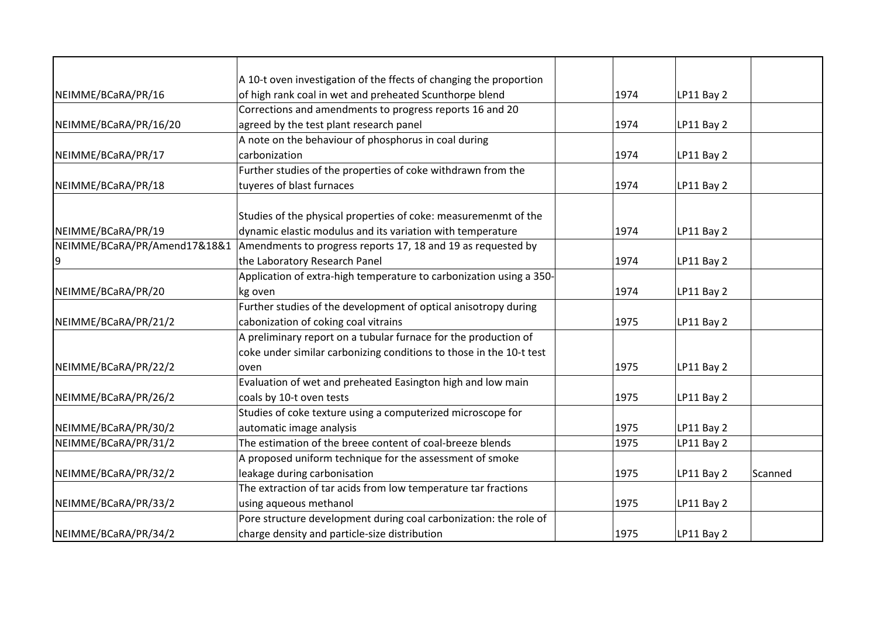|                              | A 10-t oven investigation of the ffects of changing the proportion  |      |                       |
|------------------------------|---------------------------------------------------------------------|------|-----------------------|
| NEIMME/BCaRA/PR/16           | of high rank coal in wet and preheated Scunthorpe blend             | 1974 | LP11 Bay 2            |
|                              | Corrections and amendments to progress reports 16 and 20            |      |                       |
| NEIMME/BCaRA/PR/16/20        | agreed by the test plant research panel                             | 1974 | LP11 Bay 2            |
|                              | A note on the behaviour of phosphorus in coal during                |      |                       |
| NEIMME/BCaRA/PR/17           | carbonization                                                       | 1974 | LP11 Bay 2            |
|                              | Further studies of the properties of coke withdrawn from the        |      |                       |
| NEIMME/BCaRA/PR/18           | tuyeres of blast furnaces                                           | 1974 | LP11 Bay 2            |
|                              |                                                                     |      |                       |
|                              | Studies of the physical properties of coke: measuremenmt of the     |      |                       |
| NEIMME/BCaRA/PR/19           | dynamic elastic modulus and its variation with temperature          | 1974 | LP11 Bay 2            |
| NEIMME/BCaRA/PR/Amend17&18&1 | Amendments to progress reports 17, 18 and 19 as requested by        |      |                       |
| 9                            | the Laboratory Research Panel                                       | 1974 | LP11 Bay 2            |
|                              | Application of extra-high temperature to carbonization using a 350- |      |                       |
| NEIMME/BCaRA/PR/20           | kg oven                                                             | 1974 | LP11 Bay 2            |
|                              | Further studies of the development of optical anisotropy during     |      |                       |
| NEIMME/BCaRA/PR/21/2         | cabonization of coking coal vitrains                                | 1975 | LP11 Bay 2            |
|                              | A preliminary report on a tubular furnace for the production of     |      |                       |
|                              | coke under similar carbonizing conditions to those in the 10-t test |      |                       |
| NEIMME/BCaRA/PR/22/2         | oven                                                                | 1975 | LP11 Bay 2            |
|                              | Evaluation of wet and preheated Easington high and low main         |      |                       |
| NEIMME/BCaRA/PR/26/2         | coals by 10-t oven tests                                            | 1975 | LP11 Bay 2            |
|                              | Studies of coke texture using a computerized microscope for         |      |                       |
| NEIMME/BCaRA/PR/30/2         | automatic image analysis                                            | 1975 | LP11 Bay 2            |
| NEIMME/BCaRA/PR/31/2         | The estimation of the breee content of coal-breeze blends           | 1975 | LP11 Bay 2            |
|                              | A proposed uniform technique for the assessment of smoke            |      |                       |
| NEIMME/BCaRA/PR/32/2         | leakage during carbonisation                                        | 1975 | LP11 Bay 2<br>Scanned |
|                              | The extraction of tar acids from low temperature tar fractions      |      |                       |
| NEIMME/BCaRA/PR/33/2         | using aqueous methanol                                              | 1975 | LP11 Bay 2            |
|                              | Pore structure development during coal carbonization: the role of   |      |                       |
| NEIMME/BCaRA/PR/34/2         | charge density and particle-size distribution                       | 1975 | LP11 Bay 2            |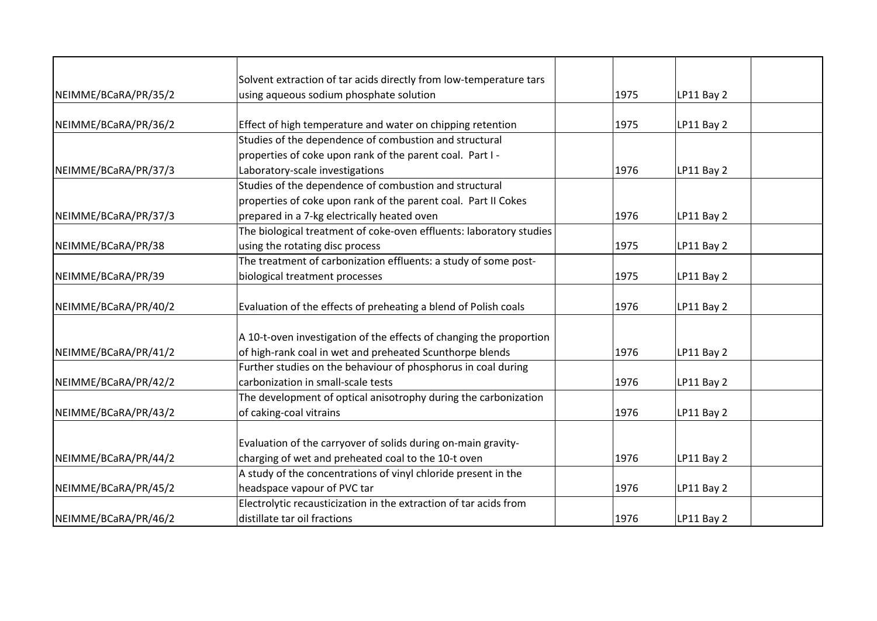|                      | Solvent extraction of tar acids directly from low-temperature tars  |      |            |  |
|----------------------|---------------------------------------------------------------------|------|------------|--|
| NEIMME/BCaRA/PR/35/2 | using aqueous sodium phosphate solution                             | 1975 |            |  |
|                      |                                                                     |      | LP11 Bay 2 |  |
| NEIMME/BCaRA/PR/36/2 | Effect of high temperature and water on chipping retention          | 1975 | LP11 Bay 2 |  |
|                      | Studies of the dependence of combustion and structural              |      |            |  |
|                      | properties of coke upon rank of the parent coal. Part I -           |      |            |  |
| NEIMME/BCaRA/PR/37/3 | Laboratory-scale investigations                                     | 1976 | LP11 Bay 2 |  |
|                      | Studies of the dependence of combustion and structural              |      |            |  |
|                      | properties of coke upon rank of the parent coal. Part II Cokes      |      |            |  |
| NEIMME/BCaRA/PR/37/3 | prepared in a 7-kg electrically heated oven                         | 1976 | LP11 Bay 2 |  |
|                      | The biological treatment of coke-oven effluents: laboratory studies |      |            |  |
| NEIMME/BCaRA/PR/38   | using the rotating disc process                                     | 1975 | LP11 Bay 2 |  |
|                      | The treatment of carbonization effluents: a study of some post-     |      |            |  |
| NEIMME/BCaRA/PR/39   | biological treatment processes                                      | 1975 | LP11 Bay 2 |  |
|                      |                                                                     |      |            |  |
| NEIMME/BCaRA/PR/40/2 | Evaluation of the effects of preheating a blend of Polish coals     | 1976 | LP11 Bay 2 |  |
|                      |                                                                     |      |            |  |
|                      | A 10-t-oven investigation of the effects of changing the proportion |      |            |  |
| NEIMME/BCaRA/PR/41/2 | of high-rank coal in wet and preheated Scunthorpe blends            | 1976 | LP11 Bay 2 |  |
|                      | Further studies on the behaviour of phosphorus in coal during       |      |            |  |
| NEIMME/BCaRA/PR/42/2 | carbonization in small-scale tests                                  | 1976 | LP11 Bay 2 |  |
|                      | The development of optical anisotrophy during the carbonization     |      |            |  |
| NEIMME/BCaRA/PR/43/2 | of caking-coal vitrains                                             | 1976 | LP11 Bay 2 |  |
|                      |                                                                     |      |            |  |
|                      | Evaluation of the carryover of solids during on-main gravity-       |      |            |  |
| NEIMME/BCaRA/PR/44/2 | charging of wet and preheated coal to the 10-t oven                 | 1976 | LP11 Bay 2 |  |
|                      | A study of the concentrations of vinyl chloride present in the      |      |            |  |
| NEIMME/BCaRA/PR/45/2 | headspace vapour of PVC tar                                         | 1976 | LP11 Bay 2 |  |
|                      | Electrolytic recausticization in the extraction of tar acids from   |      |            |  |
| NEIMME/BCaRA/PR/46/2 | distillate tar oil fractions                                        | 1976 | LP11 Bay 2 |  |